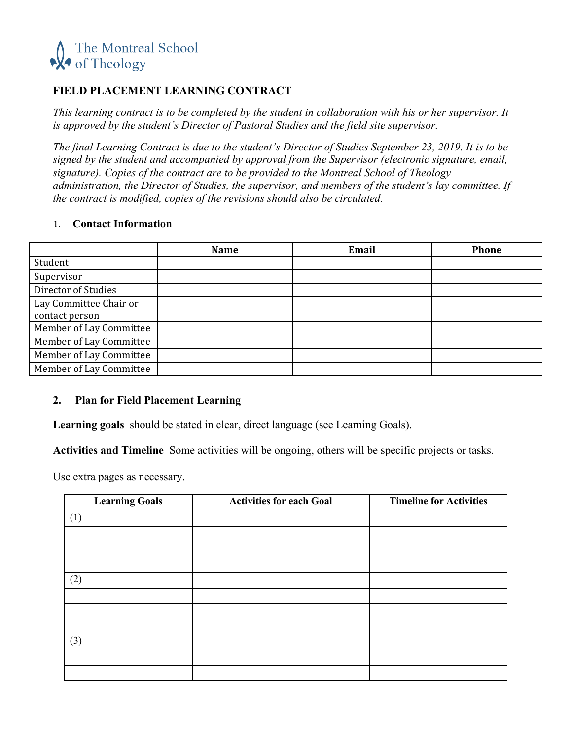

# **FIELD PLACEMENT LEARNING CONTRACT**

*This learning contract is to be completed by the student in collaboration with his or her supervisor. It is approved by the student's Director of Pastoral Studies and the field site supervisor.*

*The final Learning Contract is due to the student's Director of Studies September 23, 2019. It is to be signed by the student and accompanied by approval from the Supervisor (electronic signature, email, signature). Copies of the contract are to be provided to the Montreal School of Theology administration, the Director of Studies, the supervisor, and members of the student's lay committee. If the contract is modified, copies of the revisions should also be circulated.*

#### 1. **Contact Information**

|                         | <b>Name</b> | Email | <b>Phone</b> |
|-------------------------|-------------|-------|--------------|
| Student                 |             |       |              |
| Supervisor              |             |       |              |
| Director of Studies     |             |       |              |
| Lay Committee Chair or  |             |       |              |
| contact person          |             |       |              |
| Member of Lay Committee |             |       |              |
| Member of Lay Committee |             |       |              |
| Member of Lay Committee |             |       |              |
| Member of Lay Committee |             |       |              |

### **2. Plan for Field Placement Learning**

**Learning goals** should be stated in clear, direct language (see Learning Goals).

**Activities and Timeline** Some activities will be ongoing, others will be specific projects or tasks.

Use extra pages as necessary.

| <b>Learning Goals</b> | <b>Activities for each Goal</b> | <b>Timeline for Activities</b> |
|-----------------------|---------------------------------|--------------------------------|
| (1)                   |                                 |                                |
|                       |                                 |                                |
|                       |                                 |                                |
|                       |                                 |                                |
| (2)                   |                                 |                                |
|                       |                                 |                                |
|                       |                                 |                                |
|                       |                                 |                                |
| (3)                   |                                 |                                |
|                       |                                 |                                |
|                       |                                 |                                |